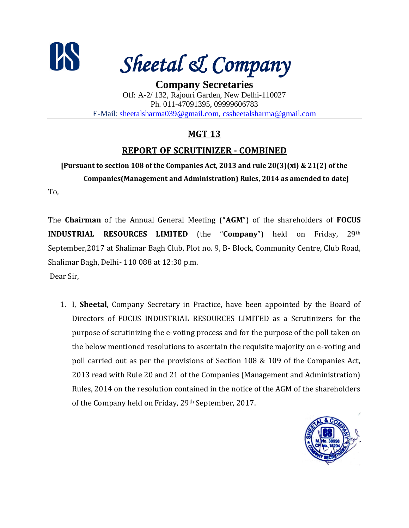

*Sheetal & Company*

**Company Secretaries** Off: A-2/ 132, Rajouri Garden, New Delhi-110027 Ph. 011-47091395, 09999606783 E-Mail: [sheetalsharma039@gmail.com,](mailto:sheetalsharma039@gmail.com) [cssheetalsharma@gmail.com](mailto:cssheetalsharma@gmail.com)

# **MGT 13**

# **REPORT OF SCRUTINIZER - COMBINED**

**[Pursuant to section 108 of the Companies Act, 2013 and rule 20(3)(xi) & 21(2) of the Companies(Management and Administration) Rules, 2014 as amended to date]**

To,

The **Chairman** of the Annual General Meeting ("**AGM**") of the shareholders of **FOCUS INDUSTRIAL RESOURCES LIMITED** (the "**Company**") held on Friday, 29th September,2017 at Shalimar Bagh Club, Plot no. 9, B- Block, Community Centre, Club Road, Shalimar Bagh, Delhi- 110 088 at 12:30 p.m. Dear Sir,

1. I, **Sheetal**, Company Secretary in Practice, have been appointed by the Board of Directors of FOCUS INDUSTRIAL RESOURCES LIMITED as a Scrutinizers for the purpose of scrutinizing the e-voting process and for the purpose of the poll taken on the below mentioned resolutions to ascertain the requisite majority on e-voting and poll carried out as per the provisions of Section 108 & 109 of the Companies Act, 2013 read with Rule 20 and 21 of the Companies (Management and Administration) Rules, 2014 on the resolution contained in the notice of the AGM of the shareholders of the Company held on Friday, 29th September, 2017.

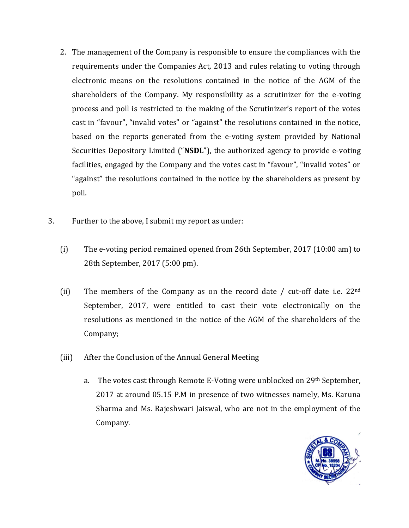- 2. The management of the Company is responsible to ensure the compliances with the requirements under the Companies Act, 2013 and rules relating to voting through electronic means on the resolutions contained in the notice of the AGM of the shareholders of the Company. My responsibility as a scrutinizer for the e-voting process and poll is restricted to the making of the Scrutinizer's report of the votes cast in "favour", "invalid votes" or "against" the resolutions contained in the notice, based on the reports generated from the e-voting system provided by National Securities Depository Limited ("**NSDL**"), the authorized agency to provide e-voting facilities, engaged by the Company and the votes cast in "favour", "invalid votes" or "against" the resolutions contained in the notice by the shareholders as present by poll.
- 3. Further to the above, I submit my report as under:
	- (i) The e-voting period remained opened from 26th September, 2017 (10:00 am) to 28th September, 2017 (5:00 pm).
	- (ii) The members of the Company as on the record date / cut-off date i.e.  $22<sup>nd</sup>$ September, 2017, were entitled to cast their vote electronically on the resolutions as mentioned in the notice of the AGM of the shareholders of the Company;
	- (iii) After the Conclusion of the Annual General Meeting
		- a. The votes cast through Remote E-Voting were unblocked on  $29<sup>th</sup>$  September, 2017 at around 05.15 P.M in presence of two witnesses namely, Ms. Karuna Sharma and Ms. Rajeshwari Jaiswal, who are not in the employment of the Company.

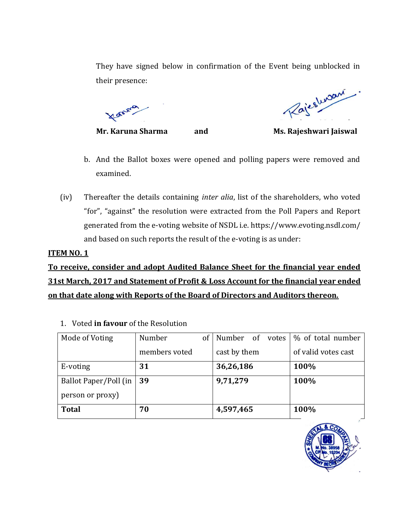They have signed below in confirmation of the Event being unblocked in their presence:

Transvio

Rajestwan

**Mr. Karuna Sharma and Ms. Rajeshwari Jaiswal**

- b. And the Ballot boxes were opened and polling papers were removed and examined.
- (iv) Thereafter the details containing *inter alia*, list of the shareholders, who voted "for", "against" the resolution were extracted from the Poll Papers and Report generated from the e-voting website of NSDL i.e. https://www.evoting.nsdl.com/ and based on such reports the result of the e-voting is as under:

#### **ITEM NO. 1**

**To receive, consider and adopt Audited Balance Sheet for the financial year ended 31st March, 2017 and Statement of Profit & Loss Account for the financial year ended on that date along with Reports of the Board of Directors and Auditors thereon.**

| Mode of Voting        | Number<br><sub>of</sub> | Number of<br>votes | % of total number   |
|-----------------------|-------------------------|--------------------|---------------------|
|                       | members voted           | cast by them       | of valid votes cast |
| E-voting              | 31                      | 36,26,186          | 100%                |
| Ballot Paper/Poll (in | 39                      | 9,71,279           | 100%                |
| person or proxy)      |                         |                    |                     |
| <b>Total</b>          | 70                      | 4,597,465          | 100%                |

1. Voted **in favour** of the Resolution

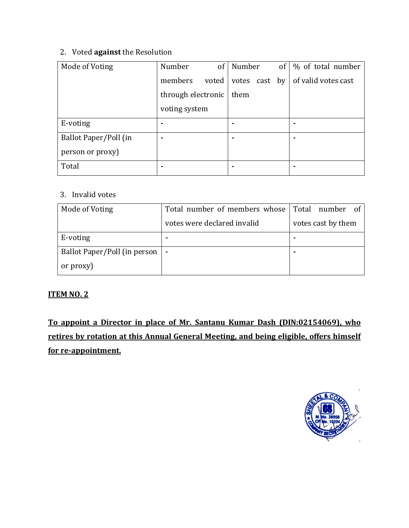### 2. Voted **against** the Resolution

| Mode of Voting        | Number             | $of \vdash$ | Number |  | of $\frac{1}{2}$ of total number          |
|-----------------------|--------------------|-------------|--------|--|-------------------------------------------|
|                       | members            | voted       |        |  | votes cast by $\vert$ of valid votes cast |
|                       | through electronic |             | them   |  |                                           |
|                       | voting system      |             |        |  |                                           |
| E-voting              | ۰                  |             |        |  |                                           |
| Ballot Paper/Poll (in |                    |             |        |  |                                           |
| person or proxy)      |                    |             |        |  |                                           |
| Total                 |                    |             |        |  |                                           |

# 3. Invalid votes

| Mode of Voting               | Total number of members whose Total number of |                    |
|------------------------------|-----------------------------------------------|--------------------|
|                              | votes were declared invalid                   | votes cast by them |
| E-voting                     | ۰                                             |                    |
| Ballot Paper/Poll (in person | $\overline{\phantom{a}}$                      |                    |
| or proxy)                    |                                               |                    |

## **ITEM NO. 2**

**To appoint a Director in place of Mr. Santanu Kumar Dash (DIN:02154069), who retires by rotation at this Annual General Meeting, and being eligible, offers himself for re-appointment.**

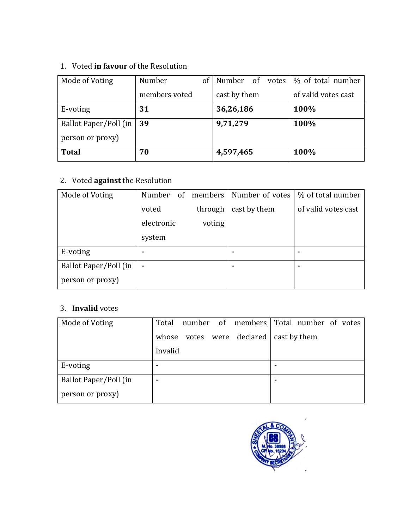# 1. Voted **in favour** of the Resolution

| Mode of Voting        | Number        | <sub>of</sub> | Number of votes |  | \% of total number  |
|-----------------------|---------------|---------------|-----------------|--|---------------------|
|                       | members voted |               | cast by them    |  | of valid votes cast |
| E-voting              | 31            |               | 36,26,186       |  | 100%                |
| Ballot Paper/Poll (in | 39            |               | 9,71,279        |  | 100%                |
| person or proxy)      |               |               |                 |  |                     |
| <b>Total</b>          | 70            |               | 4,597,465       |  | 100%                |

# 2. Voted **against** the Resolution

| Mode of Voting        | Number<br>of | members | Number of votes | % of total number   |
|-----------------------|--------------|---------|-----------------|---------------------|
|                       | voted        | through | cast by them    | of valid votes cast |
|                       | electronic   | voting  |                 |                     |
|                       | system       |         |                 |                     |
| E-voting              |              |         |                 |                     |
| Ballot Paper/Poll (in | ۰            |         |                 |                     |
| person or proxy)      |              |         |                 |                     |

# 3. **Invalid** votes

| Mode of Voting        | Total<br>number of members         | Total number of votes |
|-----------------------|------------------------------------|-----------------------|
|                       | declared<br>whose<br>votes<br>were | cast by them          |
|                       | invalid                            |                       |
| E-voting              |                                    |                       |
| Ballot Paper/Poll (in | ۰                                  |                       |
| person or proxy)      |                                    |                       |

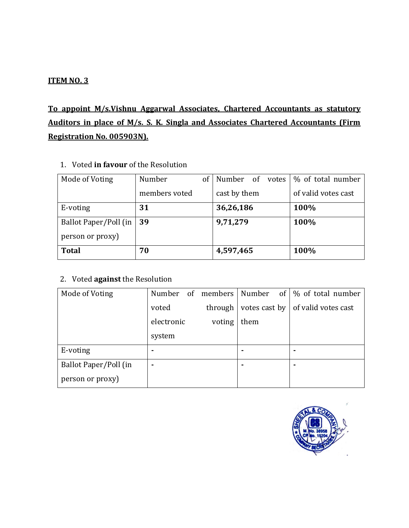#### **ITEM NO. 3**

# **To appoint M/s.Vishnu Aggarwal Associates, Chartered Accountants as statutory Auditors in place of M/s. S. K. Singla and Associates Chartered Accountants (Firm Registration No. 005903N).**

1. Voted **in favour** of the Resolution

| Mode of Voting        | Number        | of | Number of    | votes | % of total number   |
|-----------------------|---------------|----|--------------|-------|---------------------|
|                       | members voted |    | cast by them |       | of valid votes cast |
| E-voting              | 31            |    | 36,26,186    |       | 100%                |
| Ballot Paper/Poll (in | 39            |    | 9,71,279     |       | 100%                |
| person or proxy)      |               |    |              |       |                     |
| <b>Total</b>          | 70            |    | 4,597,465    |       | 100%                |

## 2. Voted **against** the Resolution

| Mode of Voting        | Number     |         |               | of members   Number of   % of total number |
|-----------------------|------------|---------|---------------|--------------------------------------------|
|                       | voted      | through | votes cast by | of valid votes cast                        |
|                       | electronic | voting  | them          |                                            |
|                       | system     |         |               |                                            |
| E-voting              |            |         |               |                                            |
| Ballot Paper/Poll (in |            |         |               |                                            |
| person or proxy)      |            |         |               |                                            |

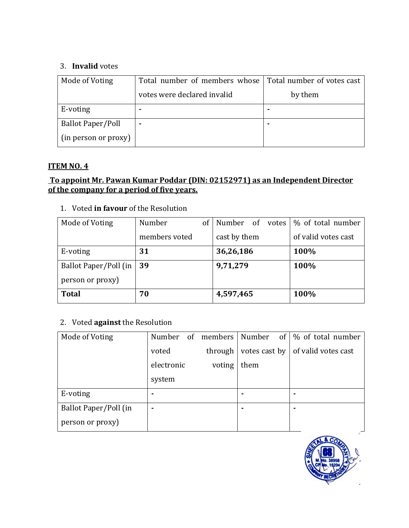#### 3. **Invalid** votes

| Mode of Voting           | Total number of members whose Total number of votes cast |         |
|--------------------------|----------------------------------------------------------|---------|
|                          | votes were declared invalid                              | by them |
| E-voting                 | ٠                                                        | ٠       |
| <b>Ballot Paper/Poll</b> | ۰                                                        | ٠       |
| (in person or proxy)     |                                                          |         |

#### **ITEM NO. 4**

#### **To appoint Mr. Pawan Kumar Poddar (DIN: 02152971) as an Independent Director of the company for a period of five years.**

1. Voted **in favour** of the Resolution

| Mode of Voting        | Number<br>of  | Number of<br>votes | % of total number   |
|-----------------------|---------------|--------------------|---------------------|
|                       | members voted | cast by them       | of valid votes cast |
| E-voting              | 31            | 36,26,186          | 100%                |
| Ballot Paper/Poll (in | 39            | 9,71,279           | 100%                |
| person or proxy)      |               |                    |                     |
| <b>Total</b>          | 70            | 4,597,465          | 100%                |

#### 2. Voted **against** the Resolution

| Mode of Voting        | Number<br>0f |         |               | members   Number of   % of total number |
|-----------------------|--------------|---------|---------------|-----------------------------------------|
|                       | voted        | through | votes cast by | of valid votes cast                     |
|                       | electronic   | voting  | them          |                                         |
|                       | system       |         |               |                                         |
| E-voting              |              |         |               |                                         |
| Ballot Paper/Poll (in |              |         |               |                                         |
| person or proxy)      |              |         |               |                                         |

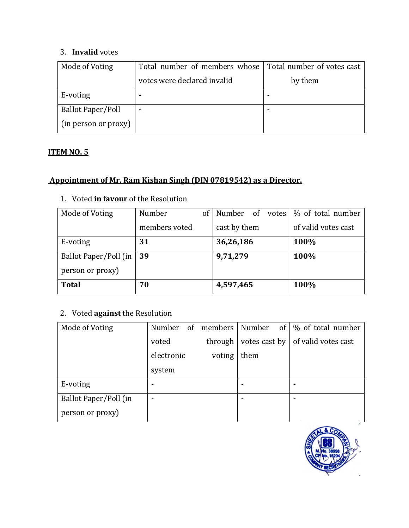#### 3. **Invalid** votes

| Mode of Voting           | Total number of members whose | Total number of votes cast |
|--------------------------|-------------------------------|----------------------------|
|                          | votes were declared invalid   | by them                    |
| E-voting                 |                               |                            |
| <b>Ballot Paper/Poll</b> |                               |                            |
| (in person or proxy)     |                               |                            |

## **ITEM NO. 5**

# **Appointment of Mr. Ram Kishan Singh (DIN 07819542) as a Director.**

#### 1. Voted **in favour** of the Resolution

| Mode of Voting        | Number        | of | Number of    | votes | % of total number   |
|-----------------------|---------------|----|--------------|-------|---------------------|
|                       | members voted |    | cast by them |       | of valid votes cast |
| E-voting              | 31            |    | 36,26,186    |       | 100%                |
| Ballot Paper/Poll (in | 39            |    | 9,71,279     |       | 100%                |
| person or proxy)      |               |    |              |       |                     |
| <b>Total</b>          | 70            |    | 4,597,465    |       | 100%                |

# 2. Voted **against** the Resolution

| Mode of Voting        | Number<br>of | members   Number |               | of   % of total number |
|-----------------------|--------------|------------------|---------------|------------------------|
|                       | voted        | through          | votes cast by | of valid votes cast    |
|                       | electronic   | voting           | them          |                        |
|                       | system       |                  |               |                        |
| E-voting              |              |                  |               |                        |
| Ballot Paper/Poll (in |              |                  |               |                        |
| person or proxy)      |              |                  |               |                        |